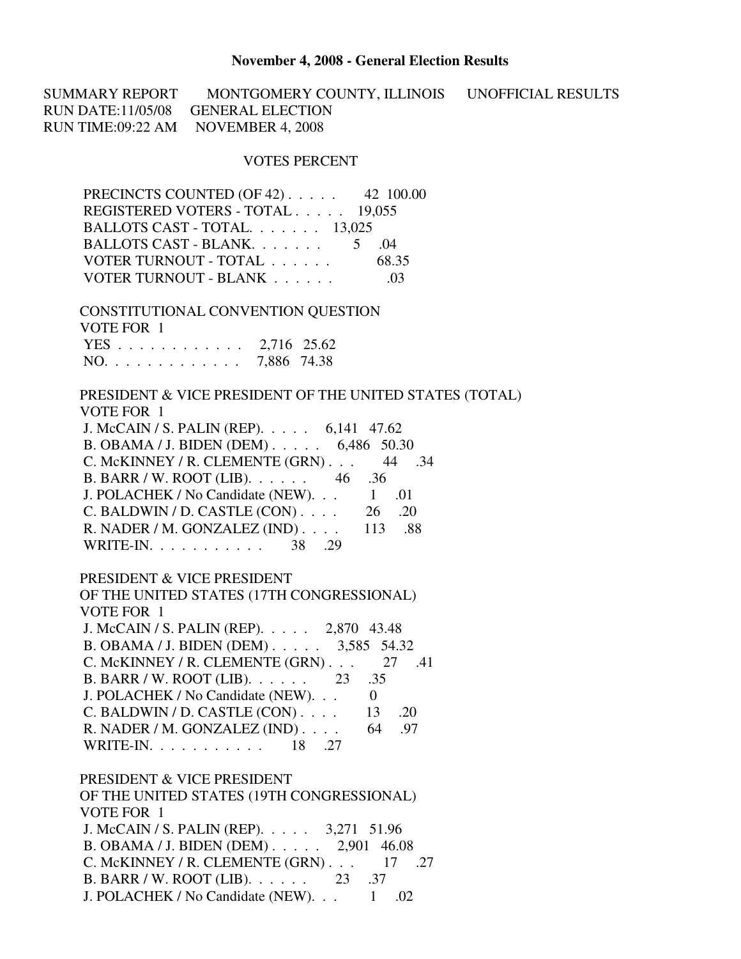## **November 4, 2008 - General Election Results**

SUMMARY REPORT MONTGOMERY COUNTY, ILLINOIS UNOFFICIAL RESULTS RUN DATE:11/05/08 GENERAL ELECTION RUN TIME:09:22 AM NOVEMBER 4, 2008

## VOTES PERCENT

| PRECINCTS COUNTED (OF 42) 42 100.00                     |
|---------------------------------------------------------|
| REGISTERED VOTERS - TOTAL 19,055                        |
| BALLOTS CAST - TOTAL. 13,025                            |
| BALLOTS CAST - BLANK 5 .04                              |
| VOTER TURNOUT - TOTAL 68.35                             |
| VOTER TURNOUT - BLANK 03                                |
|                                                         |
| CONSTITUTIONAL CONVENTION QUESTION                      |
| VOTE FOR 1                                              |
| YES 2,716 25.62                                         |
| NO. 7,886 74.38                                         |
|                                                         |
| PRESIDENT & VICE PRESIDENT OF THE UNITED STATES (TOTAL) |
| VOTE FOR 1                                              |
| J. McCAIN / S. PALIN (REP). 6,141 47.62                 |
| B. OBAMA / J. BIDEN (DEM) 6,486 50.30                   |
| C. McKINNEY / R. CLEMENTE (GRN) 44 .34                  |
| B. BARR / W. ROOT (LIB). $\ldots$ 46 .36                |
| J. POLACHEK / No Candidate (NEW). 1 .01                 |
| C. BALDWIN / D. CASTLE $(CON)$ 26 .20                   |
| R. NADER / M. GONZALEZ (IND) 113 .88                    |
| WRITE-IN. 38 . 29                                       |
|                                                         |
| PRESIDENT & VICE PRESIDENT                              |
| OF THE UNITED STATES (17TH CONGRESSIONAL)               |
| VOTE FOR 1                                              |
| J. McCAIN / S. PALIN (REP). 2,870 43.48                 |
| B. OBAMA / J. BIDEN (DEM). $\ldots$ 3,585 54.32         |
| C. McKINNEY / R. CLEMENTE $(GRN)$ . 27 .41              |
| B. BARR / W. ROOT (LIB). 23 .35                         |
| J. POLACHEK / No Candidate (NEW). 0                     |
| C. BALDWIN / D. CASTLE $(CON)$ 13 .20                   |
|                                                         |
| R. NADER / M. GONZALEZ (IND) $\ldots$ 64 .97            |
| WRITE-IN. 18 .27                                        |
| PRESIDENT & VICE PRESIDENT                              |
| OF THE UNITED STATES (19TH CONGRESSIONAL)               |
| VOTE FOR 1                                              |
|                                                         |
| J. McCAIN / S. PALIN (REP). 3,271 51.96                 |
| B. OBAMA / J. BIDEN (DEM) $\ldots$ 2,901 46.08          |
| C. McKINNEY / R. CLEMENTE (GRN) 17 .27                  |
| B. BARR / W. ROOT (LIB). 23 .37                         |

J. POLACHEK / No Candidate (NEW). . . 1 .02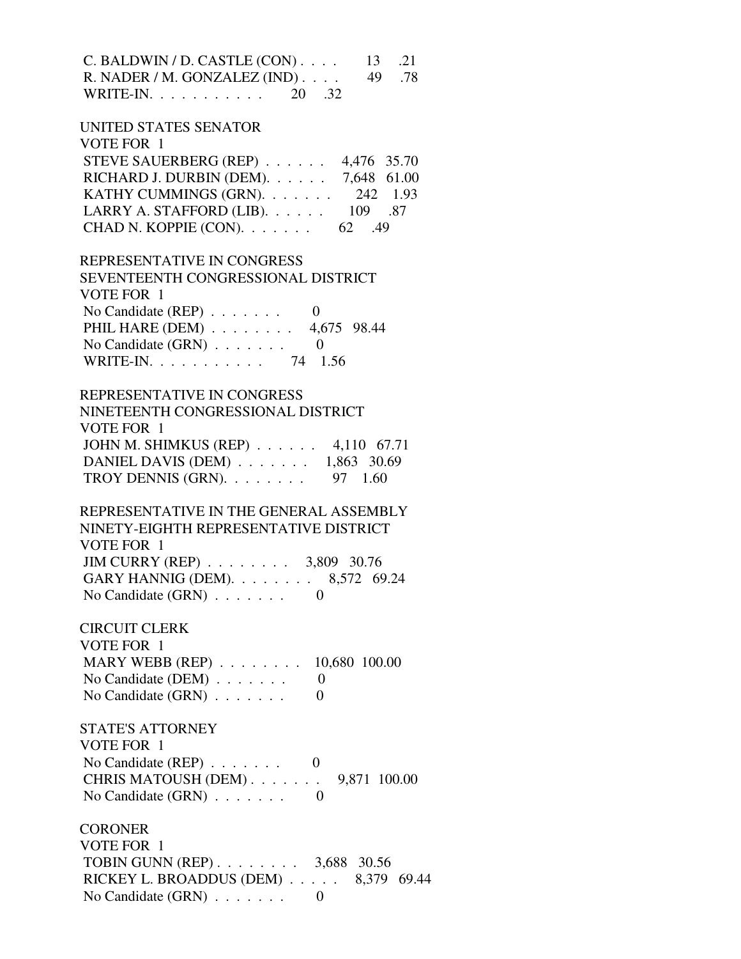| $C.$ BALDWIN / D. CASTLE $(CON)$<br>13<br>-21<br>R. NADER / M. GONZALEZ (IND)<br>49<br>.78<br>WRITE-IN. $\ldots$<br>20<br>.32 |
|-------------------------------------------------------------------------------------------------------------------------------|
| UNITED STATES SENATOR                                                                                                         |
| VOTE FOR 1                                                                                                                    |
| STEVE SAUERBERG (REP)<br>4,476 35.70                                                                                          |
| RICHARD J. DURBIN (DEM).<br>7,648 61.00                                                                                       |
| KATHY CUMMINGS (GRN).<br>242 1.93                                                                                             |
| LARRY A. STAFFORD (LIB).<br>109 .87                                                                                           |
| CHAD N. KOPPIE (CON).<br>62. 49                                                                                               |
|                                                                                                                               |
| REPRESENTATIVE IN CONGRESS                                                                                                    |
| SEVENTEENTH CONGRESSIONAL DISTRI                                                                                              |

| VOTE FOR 1                         |         |
|------------------------------------|---------|
| No Candidate $(REP) \ldots \ldots$ |         |
| PHIL HARE (DEM) 4,675 98.44        |         |
| No Candidate $(GRN) \ldots \ldots$ |         |
| WRITE-IN. $\ldots$                 | 74 1.56 |

## REPRESENTATIVE IN CONGRESS

| NINETEENTH CONGRESSIONAL DISTRICT                     |  |
|-------------------------------------------------------|--|
| VOTE FOR 1                                            |  |
| JOHN M. SHIMKUS (REP) 4,110 67.71                     |  |
| DANIEL DAVIS (DEM) $\ldots \ldots \ldots$ 1,863 30.69 |  |
| TROY DENNIS (GRN). $\ldots \ldots \ldots$ 97 1.60     |  |

## REPRESENTATIVE IN THE GENERAL ASSEMBLY NINETY-EIGHTH REPRESENTATIVE DISTRICT VOTE FOR 1 JIM CURRY (REP) . . . . . . . . 3,809 30.76 GARY HANNIG (DEM). . . . . . . . 8,572 69.24 No Candidate (GRN)  $\ldots$  . . . . . 0

 CIRCUIT CLERK VOTE FOR 1 MARY WEBB (REP) . . . . . . . . 10.680 100.00 No Candidate (DEM) . . . . . . . 0

No Candidate  $(GRN)$  . . . . . . . . 0 STATE'S ATTORNEY VOTE FOR 1 No Candidate (REP) . . . . . . . 0

| $130$ Candidate (IVET ) $\ldots$ $\ldots$ . |  |
|---------------------------------------------|--|
| CHRIS MATOUSH (DEM). $\ldots$ 9,871 100.00  |  |
| No Candidate $(GRN)$                        |  |

**CORONER**  VOTE FOR 1 TOBIN GUNN (REP) . . . . . . . . 3,688 30.56 RICKEY L. BROADDUS (DEM) . . . . . 8,379 69.44 No Candidate  $(GRN)$  . . . . . . . . 0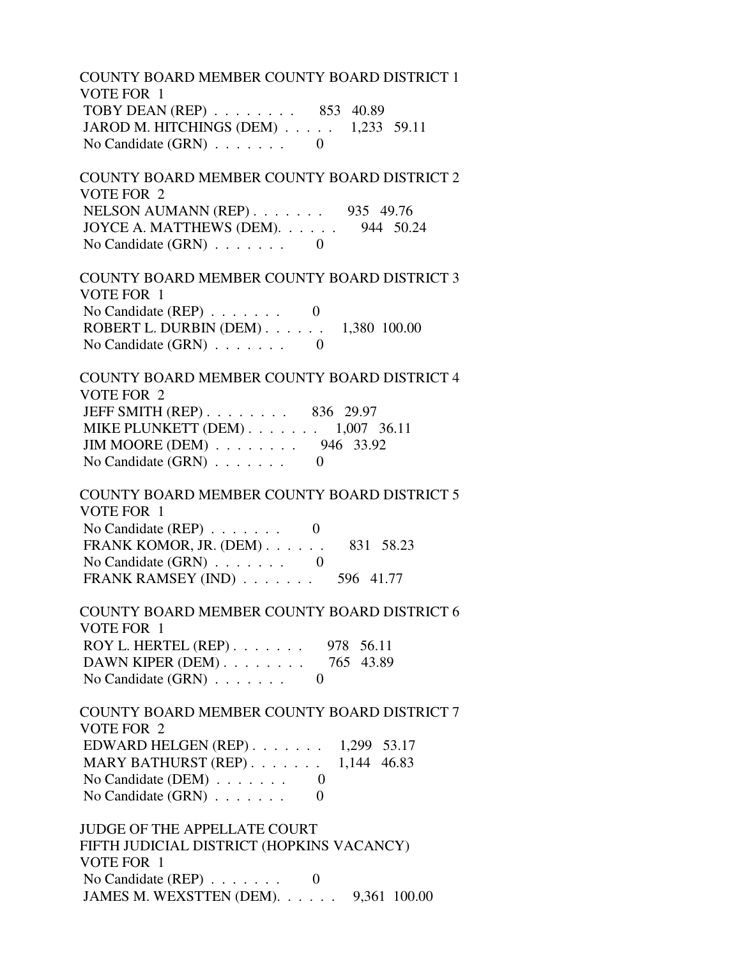COUNTY BOARD MEMBER COUNTY BOARD DISTRICT 1 VOTE FOR 1 TOBY DEAN (REP) . . . . . . . . 853 40.89 JAROD M. HITCHINGS (DEM) . . . . . 1,233 59.11 No Candidate (GRN) . . . . . . . 0

 COUNTY BOARD MEMBER COUNTY BOARD DISTRICT 2 VOTE FOR 2 NELSON AUMANN (REP) . . . . . . . 935 49.76 JOYCE A. MATTHEWS (DEM). . . . . . 944 50.24 No Candidate (GRN) . . . . . . . 0

 COUNTY BOARD MEMBER COUNTY BOARD DISTRICT 3 VOTE FOR 1 No Candidate  $(REP)$  . . . . . . . 0 ROBERT L. DURBIN (DEM) . . . . . . 1,380 100.00 No Candidate (GRN) . . . . . . . 0

 COUNTY BOARD MEMBER COUNTY BOARD DISTRICT 4 VOTE FOR 2 JEFF SMITH (REP) . . . . . . . . 836 29.97 MIKE PLUNKETT (DEM) . . . . . . . 1,007 36.11 JIM MOORE (DEM) . . . . . . . . 946 33.92 No Candidate (GRN) . . . . . . . 0

 COUNTY BOARD MEMBER COUNTY BOARD DISTRICT 5 VOTE FOR 1 No Candidate  $(REP)$  . . . . . . . 0 FRANK KOMOR, JR. (DEM) . . . . . . 831 58.23 No Candidate (GRN) . . . . . . . 0 FRANK RAMSEY (IND) . . . . . . . 596 41.77

 COUNTY BOARD MEMBER COUNTY BOARD DISTRICT 6 VOTE FOR 1 ROY L. HERTEL (REP) . . . . . . . 978 56.11 DAWN KIPER (DEM) . . . . . . . . 765 43.89 No Candidate (GRN)  $\ldots$  . . . . . . 0

 COUNTY BOARD MEMBER COUNTY BOARD DISTRICT 7 VOTE FOR 2 EDWARD HELGEN (REP) . . . . . . . 1,299 53.17 MARY BATHURST (REP) . . . . . . . 1,144 46.83 No Candidate (DEM) . . . . . . . 0 No Candidate  $(GRN)$  . . . . . . . 0

 JUDGE OF THE APPELLATE COURT FIFTH JUDICIAL DISTRICT (HOPKINS VACANCY) VOTE FOR 1 No Candidate (REP)  $\ldots$  . . . . . 0 JAMES M. WEXSTTEN (DEM). . . . . . 9,361 100.00